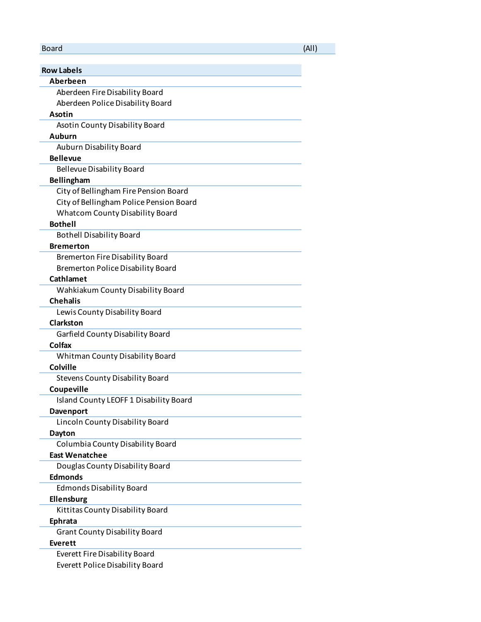## Board (All)

| <b>Row Labels</b>                        |
|------------------------------------------|
| Aberbeen                                 |
| Aberdeen Fire Disability Board           |
| Aberdeen Police Disability Board         |
| Asotin                                   |
| Asotin County Disability Board           |
| Auburn                                   |
| Auburn Disability Board                  |
| <b>Bellevue</b>                          |
| <b>Bellevue Disability Board</b>         |
| <b>Bellingham</b>                        |
| City of Bellingham Fire Pension Board    |
| City of Bellingham Police Pension Board  |
| <b>Whatcom County Disability Board</b>   |
| <b>Bothell</b>                           |
| <b>Bothell Disability Board</b>          |
| <b>Bremerton</b>                         |
| <b>Bremerton Fire Disability Board</b>   |
| <b>Bremerton Police Disability Board</b> |
| Cathlamet                                |
| Wahkiakum County Disability Board        |
| <b>Chehalis</b>                          |
| Lewis County Disability Board            |
| Clarkston                                |
| Garfield County Disability Board         |
| Colfax                                   |
| Whitman County Disability Board          |
| <b>Colville</b>                          |
| <b>Stevens County Disability Board</b>   |
| Coupeville                               |
| Island County LEOFF 1 Disability Board   |
| <b>Davenport</b>                         |
| Lincoln County Disability Board          |
| <b>Dayton</b>                            |
| Columbia County Disability Board         |
| <b>East Wenatchee</b>                    |
| Douglas County Disability Board          |
| <b>Edmonds</b>                           |
| <b>Edmonds Disability Board</b>          |
| Ellensburg                               |
| Kittitas County Disability Board         |
| <b>Ephrata</b>                           |
| <b>Grant County Disability Board</b>     |
| Everett                                  |
| <b>Everett Fire Disability Board</b>     |
| <b>Everett Police Disability Board</b>   |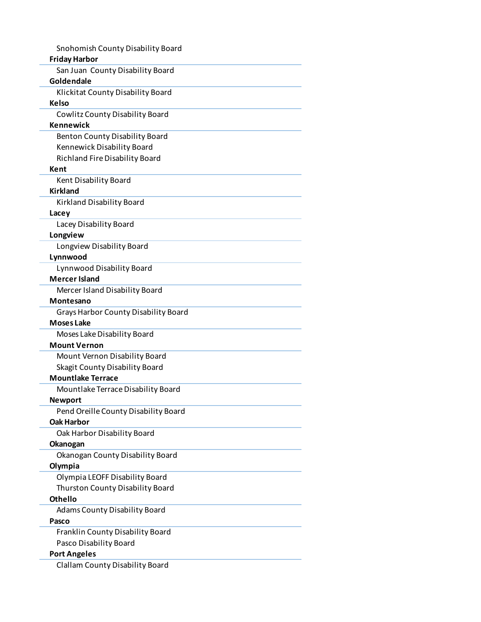|                     | Snohomish County Disability Board                                 |
|---------------------|-------------------------------------------------------------------|
|                     | <b>Friday Harbor</b>                                              |
|                     | San Juan County Disability Board                                  |
| Goldendale          |                                                                   |
|                     | Klickitat County Disability Board                                 |
| Kelso               |                                                                   |
|                     | Cowlitz County Disability Board                                   |
| <b>Kennewick</b>    |                                                                   |
|                     | <b>Benton County Disability Board</b>                             |
|                     | Kennewick Disability Board                                        |
|                     | Richland Fire Disability Board                                    |
| Kent                |                                                                   |
|                     | Kent Disability Board                                             |
| <b>Kirkland</b>     |                                                                   |
|                     | Kirkland Disability Board                                         |
| Lacey               |                                                                   |
|                     | Lacey Disability Board                                            |
| Longview            |                                                                   |
|                     | Longview Disability Board                                         |
| Lynnwood            |                                                                   |
|                     | Lynnwood Disability Board                                         |
|                     | <b>Mercer Island</b>                                              |
|                     | Mercer Island Disability Board                                    |
| Montesano           |                                                                   |
|                     | Grays Harbor County Disability Board                              |
| <b>Moses Lake</b>   |                                                                   |
|                     | Moses Lake Disability Board                                       |
|                     | <b>Mount Vernon</b>                                               |
|                     | Mount Vernon Disability Board                                     |
|                     | <b>Skagit County Disability Board</b><br><b>Mountlake Terrace</b> |
|                     |                                                                   |
| <b>Newport</b>      | Mountlake Terrace Disability Board                                |
|                     | Pend Oreille County Disability Board                              |
| <b>Oak Harbor</b>   |                                                                   |
|                     | Oak Harbor Disability Board                                       |
| <b>Okanogan</b>     |                                                                   |
|                     | Okanogan County Disability Board                                  |
| Olympia             |                                                                   |
|                     | Olympia LEOFF Disability Board                                    |
|                     | Thurston County Disability Board                                  |
| <b>Othello</b>      |                                                                   |
|                     | <b>Adams County Disability Board</b>                              |
| Pasco               |                                                                   |
|                     | Franklin County Disability Board                                  |
|                     | Pasco Disability Board                                            |
| <b>Port Angeles</b> |                                                                   |
|                     | <b>Clallam County Disability Board</b>                            |
|                     |                                                                   |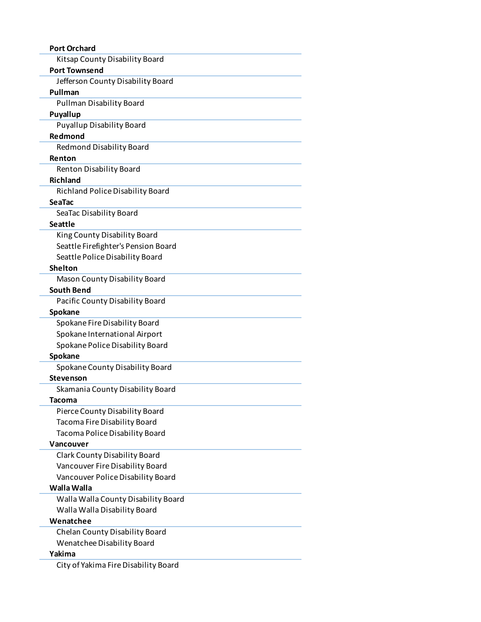| <b>Port Orchard</b>                               |  |
|---------------------------------------------------|--|
| Kitsap County Disability Board                    |  |
| <b>Port Townsend</b>                              |  |
| Jefferson County Disability Board                 |  |
| Pullman                                           |  |
| <b>Pullman Disability Board</b>                   |  |
| Puyallup                                          |  |
| <b>Puyallup Disability Board</b>                  |  |
| Redmond                                           |  |
| Redmond Disability Board                          |  |
| Renton                                            |  |
| Renton Disability Board                           |  |
| <b>Richland</b>                                   |  |
| <b>Richland Police Disability Board</b>           |  |
| SeaTac                                            |  |
| SeaTac Disability Board                           |  |
| <b>Seattle</b>                                    |  |
| King County Disability Board                      |  |
| Seattle Firefighter's Pension Board               |  |
| Seattle Police Disability Board                   |  |
| <b>Shelton</b>                                    |  |
| Mason County Disability Board                     |  |
| <b>South Bend</b>                                 |  |
| Pacific County Disability Board                   |  |
| Spokane                                           |  |
| Spokane Fire Disability Board                     |  |
| Spokane International Airport                     |  |
| Spokane Police Disability Board                   |  |
| Spokane                                           |  |
| Spokane County Disability Board<br>Stevenson      |  |
|                                                   |  |
| Skamania County Disability Board<br><b>Tacoma</b> |  |
| Pierce County Disability Board                    |  |
| Tacoma Fire Disability Board                      |  |
| Tacoma Police Disability Board                    |  |
| Vancouver                                         |  |
| <b>Clark County Disability Board</b>              |  |
| Vancouver Fire Disability Board                   |  |
| Vancouver Police Disability Board                 |  |
| Walla Walla                                       |  |
| Walla Walla County Disability Board               |  |
| Walla Walla Disability Board                      |  |
| Wenatchee                                         |  |
| Chelan County Disability Board                    |  |
| Wenatchee Disability Board                        |  |
| Yakima                                            |  |
| City of Yakima Fire Disability Board              |  |
|                                                   |  |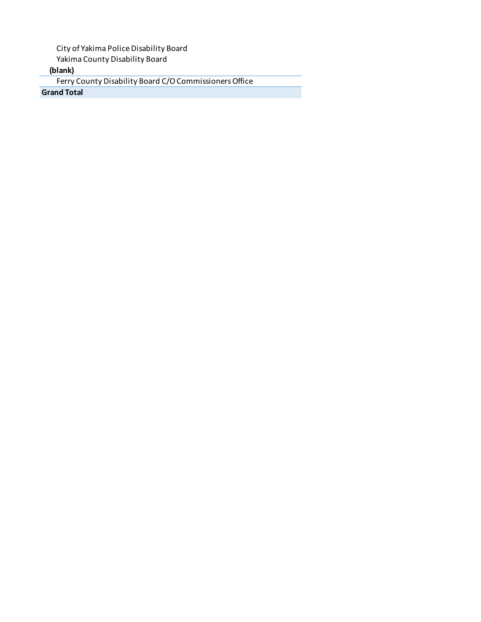City of Yakima Police Disability Board

Yakima County Disability Board

**(blank)**

Ferry County Disability Board C/O Commissioners Office

**Grand Total**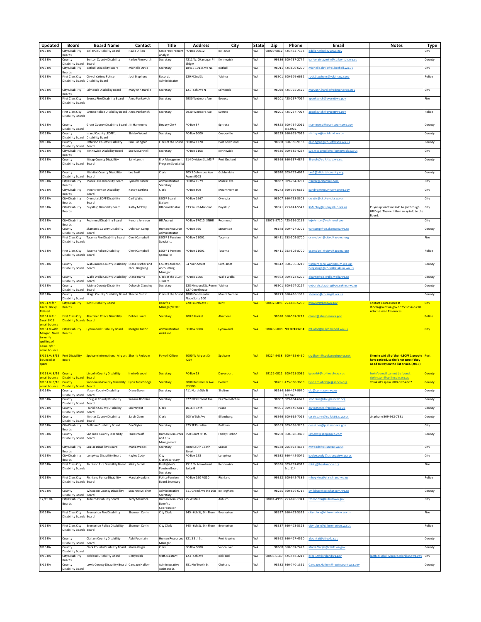| Updated                   | Board                                              | <b>Board Name</b>                                      | Contact              | Title                                           | <b>Address</b>                                 |                     | State     | Zip        | Phone                         | Email                                                      | <b>Notes</b>                                                                             |              |
|---------------------------|----------------------------------------------------|--------------------------------------------------------|----------------------|-------------------------------------------------|------------------------------------------------|---------------------|-----------|------------|-------------------------------|------------------------------------------------------------|------------------------------------------------------------------------------------------|--------------|
| 8/15 RA                   | City Disability                                    | <b>Bellevue Disability Board</b>                       | Paula Dillon         | Senior Retirement                               | PO Box 90012                                   | City<br>Bellevue    | WA        | 98009-9012 | 425-452-7198                  | dillon@bellevuewa.gov                                      |                                                                                          | Type<br>City |
|                           | Boards                                             |                                                        |                      | Analyst                                         |                                                |                     |           |            |                               |                                                            |                                                                                          |              |
| 8/15 RA                   | County                                             | Benton County Disability                               | Karlee Ainsworth     | Secretary                                       | 7211 W. Okanogan Pl                            | Cennewick           | WA        | 99336      | 509-737-2777                  | arlee.ainsworth@co.benton.wa.us                            |                                                                                          | County       |
| 8/15 RA                   | Disability Board                                   | Board<br><b>Bothell Disability Board</b>               | Michelle Davis       | Secretary                                       | Ildg A<br>18415 101st Ave NE                   | Bothell             | WA        | 98011      | 425-806-6200                  | ichelle.davis@ci.bothell.wa.us                             |                                                                                          |              |
|                           | City Disability<br>Boards                          |                                                        |                      |                                                 |                                                |                     |           |            |                               |                                                            |                                                                                          | City         |
| 8/15 RA                   | First Class City                                   | City of Yakima Police                                  | Jodi Stephens        | Records                                         | 129 N 2nd St                                   | Yakima              | WA        | 98901      | 509-576-6652                  | odi.Stephens@yakimawa.gov                                  |                                                                                          | Police       |
|                           | Disability Boards                                  | Disability Board                                       |                      | Administrator                                   |                                                |                     |           |            |                               |                                                            |                                                                                          |              |
| 8/15 RA                   | City Disability                                    | <b>Edmonds Disability Board</b>                        | Mary Ann Hardie      | Secretary                                       | 121 - 5th Ave N                                | Edmonds             | WA        | 98020      | 425-775-2525                  | aryann.hardie@edmondswa.gov                                |                                                                                          | City         |
|                           | Boards                                             |                                                        |                      |                                                 |                                                |                     |           |            |                               |                                                            |                                                                                          |              |
| 8/15 RA                   | <b>First Class City</b>                            | <b>Everett Fire Disability Board</b>                   | Anna Pankevich       | Secretary                                       | 2930 Wetmore Ave                               | Everett             | WA        | 98201      | 425-257-7024                  | oankevich@everettwa.gov                                    |                                                                                          | Fire         |
|                           | Disability Boards                                  |                                                        |                      |                                                 |                                                |                     |           |            |                               |                                                            |                                                                                          |              |
| 8/15 RA                   | <b>First Class City</b>                            | <b>Everett Police Disability Board</b>                 | Anna Pankevich       | Secretary                                       | 2930 Wetmore Ave                               | Everett             | WA        |            | 98201 425-257-7024            | apankevich@everettwa.gov                                   |                                                                                          | Police       |
|                           | Disability Board                                   |                                                        |                      |                                                 |                                                |                     |           |            |                               |                                                            |                                                                                          |              |
|                           |                                                    |                                                        |                      |                                                 |                                                |                     |           |            |                               |                                                            |                                                                                          |              |
| 8/15 RA                   | County<br>Disability Board                         | Grant County Disability Board Jill Hammond             |                      | Deputy Clerk                                    | PO Box 37                                      | Ephrata             | WA        | 9882       | 509-754-2011<br>ext 2931      | hammond@grantcountywa.gov                                  |                                                                                          | County       |
| 8/15 RA                   | County                                             | sland County LEOFF 1                                   | Shirley Wood         | Secretary                                       | PO Box 5000                                    | Coupeville          | WA        | 98239      | 360-678-7919                  | nirleyw@co.island.wa.us                                    |                                                                                          | County       |
|                           | <b>Disability Board</b>                            | Disability Board                                       |                      |                                                 |                                                |                     |           |            |                               |                                                            |                                                                                          |              |
| 8/15 RA                   | County<br>Disability Board                         | efferson County Disability<br>Board                    | Erin Lunderen        | Clerk of the Board                              | PO Box 1220                                    | Port Townsend       | WA        | 98368      | 360-385-9133                  | undgren@co.iefferson.wa.us                                 |                                                                                          | County       |
| 8/15 RA                   | City Disability                                    | Kennewick Disability Board                             | Sue McConnell        | Secretary                                       | PO Box 6108                                    | Kennewick           | WA        | 9933       | 509-585-4264                  | ue.mcconnell@ci.kennewick.wa.us                            |                                                                                          | City         |
|                           | Boards                                             |                                                        |                      |                                                 |                                                |                     |           |            |                               |                                                            |                                                                                          |              |
| 8/15 RA                   | County<br>Disability Board                         | Kitsap County Disability<br>Board                      | Sally Lynch          | <b>Risk Management</b><br>Program Specialis     | 614 Division St. MS-7                          | Port Orchard        | WA        |            | 98366 360-337-4846            | Lynch@co.kitsap.wa.us.                                     |                                                                                          | County       |
|                           |                                                    |                                                        |                      |                                                 |                                                |                     |           |            |                               |                                                            |                                                                                          |              |
| 8/15 RA                   | County                                             | Klickitat County Disability                            | Lee Snell            | Clerk                                           | 205 S Columbus Ave                             | Goldendale          | WA        | 98620      | 509-773-4612                  | eeS@klickitatcountv.org                                    |                                                                                          | County       |
| 8/15 RA                   | Disability Board<br><b>City Disability</b>         | Board<br>Moses Lake Disability Board                   | Jynnifer Tarver      | Administrative                                  | <b>Room #103</b><br>PO Box 1579                | Moses Lake          | WA        | 9883       | 509-764-3701                  | itarver@cityofml.com                                       |                                                                                          | City         |
|                           | Boards                                             |                                                        |                      | Secretary                                       |                                                |                     |           |            |                               |                                                            |                                                                                          |              |
| 8/15 RA                   | City Disability                                    | Mount Vernon Disability                                | Kandy Bartlett       | Clerk                                           | PO Box 809                                     | Mount Vernon        | WA        | 98273      | 360-336-0636                  | andvb@mountvernonwa.eov                                    |                                                                                          | City         |
| 8/15 RA                   | Boards<br>City Disability                          | Board<br>Olympia LEOFF Disability                      | Carl Watts           | EOFF Board                                      | O Box 1967                                     | Olympia             | WA        | 9850       | 360-753-8305                  | watts@ci.olympia.wa.us                                     |                                                                                          | City         |
|                           | Boards                                             | Board                                                  |                      | Liaison                                         |                                                |                     |           |            |                               |                                                            |                                                                                          |              |
| 8/15 RA                   | City Disability                                    | Puyallup Disability Board                              | Kathy McClay         | <b>HR</b> Coordinator                           | 333 South Meridian                             | Puyallup            | WA        |            | 98371 253-841-5541            | McClay@ci.puyallup.wa.us                                   | Puyallup wants all info to go through                                                    | City         |
|                           | Boards                                             |                                                        |                      |                                                 |                                                |                     |           |            |                               |                                                            | HR Dept. They will then relay info to the<br>Board.                                      |              |
| 8/15 RA                   | City Disability                                    | Redmond Disability Board                               | Kendra Johnson       | <b>HR Analyst</b>                               | PO Box 97010, 3NHR                             | Redmond             | WA        |            | 98073-9710 425-556-2169       | kriohnson@redmond.gov                                      |                                                                                          | City         |
|                           | Boards                                             |                                                        |                      |                                                 |                                                |                     |           |            |                               |                                                            |                                                                                          |              |
| 8/15 RA                   | County<br>Disability Board                         | Skamania County Disability<br>Board                    | Debi Van Camp        | Human Resource<br>Administrator                 | <b>PO Box 790</b>                              | Stevenson           | WA        | 98648      | 509-427-3706                  | rancamp@co.skamania.wa.us                                  |                                                                                          | County       |
| 8/15 RA                   | First Class City                                   | Tacoma Fire Disability Board                           | Cheri Campbell       | <b>LEOFF 1 Pension</b>                          | PO Box 11001                                   | Tacoma              | WA        |            | 98411 253-502-8700            | camphell@cityoftacoma.org                                  |                                                                                          | Fire         |
|                           | Disability Boards                                  |                                                        |                      | Specialist                                      |                                                |                     |           |            |                               |                                                            |                                                                                          |              |
| 8/15 RA                   | First Class City                                   | Tacoma Police Disability                               | Cheri Campbel        | <b>LEOFF 1 Pension</b>                          | PO Box 11001                                   | Tacoma              | WA        |            | 98411 253-502-8700            | campbell@cityoftacoma.org                                  |                                                                                          | Police       |
|                           | Disability Boards                                  | Board                                                  |                      | Specialist                                      |                                                |                     |           |            |                               |                                                            |                                                                                          |              |
|                           |                                                    |                                                        |                      |                                                 |                                                |                     |           |            |                               |                                                            |                                                                                          |              |
| 8/15 RA                   | County<br><b>Disability Board</b>                  | Wahkiakum County Disability Diane Tischer and<br>Board | Nicci Beresene       | County Auditor,<br>Accounting                   | 64 Main Street                                 | Cathlamet           | WA        |            | 98612 360-795-3219            | tischerd@co.wahkiakum.wa.us:<br>resenen@co.wahkiakum.wa.us |                                                                                          | County       |
|                           |                                                    |                                                        |                      | Manager                                         |                                                |                     |           |            |                               |                                                            |                                                                                          |              |
| 8/15 RA                   | County                                             | Walla Walla County Disability Diane Harris             |                      | Clerk of the LEOFF                              | PO Box 1506                                    | Walla Walla         | WA        |            | 99362 509-524-5206            | harris@co.walla-walla.wa.us                                |                                                                                          | County       |
|                           | Disability Board                                   | Board                                                  |                      | L Board                                         |                                                |                     |           |            |                               |                                                            |                                                                                          |              |
| 8/15 RA                   | County<br>Disability Board                         | akima County Disability<br>Board                       | Deborah Clausing     | Secretary                                       | 128 N second St. Room<br><b>B27 Courthouse</b> | Yakima              | WA        | 98901      | 509-574-2227                  | eborah.clausing@co.vakima.wa.us                            |                                                                                          | County       |
| 8/15 RA                   | County                                             | Skagit County Disability Board Sheron Curtin           |                      | Clerk of the Board                              | 1800 Continental                               | <b>Mount Vernon</b> | WA        |            | 98273 360-416-1385            | heronc@co.skagit.wa.us                                     |                                                                                          | County       |
| 8/16 LM for               | Disability Board<br><b>City Disability</b>         | <b>Kent Disability Board</b>                           |                      | <b>Benefits</b>                                 | Place Suite 200<br>220 Fourth Ave S            | Kent                | <b>WA</b> |            | 98032-5895 253-856-5290       | bfowler@kentwa.gov                                         | contact Laura Horea at                                                                   | <b>City</b>  |
| Laura. Becky              | <b>Boards</b>                                      |                                                        |                      | Manager/LEOFF                                   |                                                |                     |           |            |                               |                                                            | Ihorea@kentwa.gov or 253-856-5290                                                        |              |
| Retired                   |                                                    |                                                        |                      |                                                 |                                                |                     |           |            |                               |                                                            | <b>Attn: Human Resources</b>                                                             |              |
| 8/16 LM for<br>Sarah 8/16 | <b>Disability Boards Board</b>                     | First Class City Aberdeen Police Disability            | Debbie Lund          | Secretary                                       | 200 E Market                                   | Aberbeen            | <b>WA</b> |            | 98520 360-537-3212            | dlund@aberdeenwa.gov                                       |                                                                                          | Police       |
| email bounce              |                                                    |                                                        |                      |                                                 |                                                |                     |           |            |                               |                                                            |                                                                                          |              |
| 8/16 LM with              |                                                    | City Disability Lynnwood Disability Board              | <b>Meagan Tudor</b>  | Administrative                                  | <b>PO Box 5008</b>                             | Lynnwood            | <b>WA</b> |            | 98046-5008 NEED PHONE #       | mtudor@ci.lynnwood.wa.us                                   |                                                                                          | City         |
| Meagan. Need<br>to verify | <b>Boards</b>                                      |                                                        |                      | <b>Assistant</b>                                |                                                |                     |           |            |                               |                                                            |                                                                                          |              |
| spelling of               |                                                    |                                                        |                      |                                                 |                                                |                     |           |            |                               |                                                            |                                                                                          |              |
| name, 8/15                |                                                    |                                                        |                      |                                                 |                                                |                     |           |            |                               |                                                            |                                                                                          |              |
| email bounce              |                                                    |                                                        |                      |                                                 |                                                |                     |           |            |                               |                                                            |                                                                                          |              |
| bounced as                | 8/16 LM. 8/15 Port Disability<br><b>Board</b>      | Spokane International Airport Sherrie Rydbom           |                      | <b>Payroll Officer</b>                          | 9000 W Airport Dr<br>#204                      | Spokane             | <b>WA</b> |            | 99224-9438 509-455-6460       |                                                            | Sherrie said all of their LEOFF 1 people Port<br>have retired, so she's not sure if they |              |
| spam                      |                                                    |                                                        |                      |                                                 |                                                |                     |           |            |                               |                                                            | need to stay on the list or not. (2015)                                                  |              |
|                           |                                                    |                                                        |                      |                                                 |                                                |                     |           |            |                               |                                                            |                                                                                          |              |
| 8/16 LM. 8/16 County      | email bounce Disability Board Board                | <b>Lincoln County Disability</b>                       | <b>Irwin Graedel</b> | Secretary                                       | PO Box 28                                      | <b>Davenport</b>    | <b>WA</b> |            | 99122-0022 509-725-3031       | jeraedel@co.lincolr                                        | Irwin's email cannot be found.<br>siohnston@co.lincoln.wa.us                             | County       |
| 8/16 LM. 8/16 County      |                                                    | Snohomish County Disability Lynn Trowbridge            |                      | Secretary                                       | 3000 Rockefeller Ave                           | Everett             | <b>WA</b> |            | 98201 425-388-3600            | Ivnn.trowbridge@snoco.org                                  | Thinks it's spam. 800-562-4367                                                           | County       |
|                           | email bounce Disability Board Board                |                                                        |                      |                                                 | <b>MS503</b>                                   |                     |           |            |                               |                                                            |                                                                                          |              |
| 8/16 RA                   | County<br>Disability Board Board                   | Mason County Disability                                | Diane Zoren          | Secretary                                       | 411 North 5th St                               | Shelton             | WA        |            | 98584 360-427-9670<br>ext 747 | dlz@co.mason.wa.us                                         |                                                                                          | County       |
| 8/16 RA                   | County                                             | Douglas County Disability                              | Suanne Robbins       | Secretary                                       | 377 N Eastmont Ave                             | East Wenatchee      | WA        |            | 98802 509-884-6671            | srobbins@douglasfire2.org                                  |                                                                                          | County       |
|                           | Disability Board                                   | Board                                                  |                      |                                                 |                                                |                     |           |            |                               |                                                            |                                                                                          |              |
| 8/16 RA                   | County<br><b>Disability Board</b>                  | ranklin County Disability<br>Board                     | Eric Wyant           | Clerk                                           | 1016 N 14th                                    | Pasco               | WA        |            | 99301 509-546-5813            | ewyant@co.franklin.wa.us                                   |                                                                                          | County       |
| 8/16 RA                   | County                                             | Kittitas County Disability                             | Sarah Gann           | Clerk                                           | 205 W 5th Ave                                  | Ellensburg          | WA        |            | 98926 509-962-7025            | arah.gann@co.kittitas.wa.us                                | alt phone 509-962-7531                                                                   | County       |
|                           | Disability Board                                   | Board                                                  |                      |                                                 |                                                |                     |           |            |                               |                                                            |                                                                                          |              |
| 8/16 RA                   | City Disability<br>Boards                          | Pullman Disability Board                               | Dee Styles           | Secretary                                       | 325 SE Paradise                                | Pullman             | WA        | 9916       | 509-338-3209                  | ee.stiles@pullman-wa.gov                                   |                                                                                          | City         |
| 8/16 RA                   | County                                             | San Juan County Disability                             | James Wolf           | Human Resources 350 Court St. #5                |                                                | Friday Harbor       | WA        | 98250      | 360-378-3870                  | amesw@sanjuanco.com                                        |                                                                                          | County       |
|                           | Disability Board                                   | Board                                                  |                      | and Risk                                        |                                                |                     |           |            |                               |                                                            |                                                                                          |              |
| 8/16 RA                   | City Disability                                    | SeaTac Disability Board                                | Maria Woods          | Management<br>Secretary                         | 4800 South 188th                               | SeaTac              | WA        |            | 98188 206-973-4653            | woods@ci.seatac.wa.us                                      |                                                                                          |              |
|                           | Boards                                             |                                                        |                      |                                                 | <b>Street</b>                                  |                     |           |            |                               |                                                            |                                                                                          | City         |
| 8/16 RA                   | <b>City Disability</b>                             | Longview Disability Board                              | Kaylee Cody          | City                                            | PO Box 128                                     | Longview            | WA        |            | 98632 360-442-5041            | kaylee.cody@ci.longview.wa.us                              |                                                                                          | City         |
| 8/16 RA                   | Boards<br>First Class City                         | Richland Fire Disability Board                         | Misty Ferrell        | Clerk/Secretary<br>Firefighter's                | 7511 W Arrowhead                               | Kennewick           | WA        | 99336      | 509-737-0911                  | isty@bentonone.org                                         |                                                                                          | Fire         |
|                           | <b>Disability Boards</b>                           |                                                        |                      | Pension Board                                   | Suite G                                        |                     |           |            | Ext. 114                      |                                                            |                                                                                          |              |
|                           |                                                    |                                                        |                      | Secretary                                       |                                                |                     |           |            |                               |                                                            |                                                                                          |              |
| 8/16 RA                   | <b>First Class City</b><br>Disability Boards Board | <b>Richland Police Disability</b>                      | Marcia Hopkins       | <b>Police Pension</b><br><b>Board Secretary</b> | PO Box 190 MS10                                | Richland            | WA        |            | 99352 509-942-7389            | hopkins@ci.richland.wa.us                                  |                                                                                          | Police       |
|                           |                                                    |                                                        |                      |                                                 |                                                |                     |           |            |                               |                                                            |                                                                                          |              |
| 8/16 RA                   | County<br>Disability Board                         | <b>Whatcom County Disability</b><br>Board              | Suzanne Mildner      | Administrative<br>Secretary                     | 311 Grand Ave Ste 108 Bellingham               |                     | WA        |            | 98225 360-676-6717            | mildner@co.whatcom.wa.us                                   |                                                                                          | County       |
| 12/19 RA                  | City Disability                                    | Auburn Disability Board                                | Terry Mendoza        | Human Resources                                 | 25 W Main                                      | Auburn              | WA        |            | 98001-4998 253-876-1944       | tmendoza@auburnwa.gov                                      |                                                                                          | City         |
|                           | Boards                                             |                                                        |                      | Benefits                                        |                                                |                     |           |            |                               |                                                            |                                                                                          |              |
| 8/16 RA                   | First Class City                                   | <b>Bremerton Fire Disability</b>                       | Shannon Corin        | Coordinator<br>City Clerk                       | 345 - 6th St, 6th Floor Bremerton              |                     | WA        |            | 98337 360-473-5323            | city.clerk@ci.bremerton.wa.us                              |                                                                                          | Fire         |
|                           | Disability Boards                                  | Board                                                  |                      |                                                 |                                                |                     |           |            |                               |                                                            |                                                                                          |              |
|                           |                                                    |                                                        |                      |                                                 |                                                |                     |           |            |                               |                                                            |                                                                                          |              |
| 8/16 RA                   | First Class City<br>Disability Boards Board        | <b>Bremerton Police Disability</b>                     | Shannon Corin        | City Clerk                                      | 345 - 6th St, 6th Floor                        | Bremerton           | WA        |            | 98337 360-473-5323            | city.clerk@ci.bremerton.wa.us                              |                                                                                          | Police       |
|                           |                                                    |                                                        |                      |                                                 |                                                |                     |           |            |                               |                                                            |                                                                                          |              |
| 8/16 RA                   | County                                             | <b>Clallam County Disability</b>                       | Abbi Fountain        | Human Resources                                 | 321 S 5th St.                                  | Port Angeles        | WA        |            | 98362 360-417-4510            | fountai@cityofpa.us                                        |                                                                                          | County       |
| 8/16 RA                   | <b>Disability Board</b><br>County                  | Board<br>lark County Disability Board                  | Maria Vergis         | Manager<br>Clerk                                | PO Box 5000                                    | Vancouver           | WA        | 98660      | 360-397-2473                  | Maria. Vergis@clark.wa.gov                                 |                                                                                          | County       |
|                           | Disability Board                                   |                                                        |                      |                                                 |                                                |                     |           |            |                               |                                                            |                                                                                          |              |
| $8/16$ RA                 | City Disability                                    | Kirkland Disability Board                              | Betsy Reali          | Staff Assistant                                 | 123 - 5th Ave                                  | Kirkland            | WA        | 98033-6189 | 425-587-3213                  | reali2@kirklandwa.gov                                      | eoff1disabilityboard@kirklandwa.go                                                       | City         |
| 8/16 RA                   | Boards<br>County                                   | Lewis County Disability Board Candace Hallom           |                      | Administrative                                  | 351 NW North St                                | Chehalis            | WA        |            | 98532 360-740-1391            | Candace.Hallom@lewiscountywa.gov                           |                                                                                          | County       |
|                           | Disability Board                                   |                                                        |                      | Assistant Sr.                                   |                                                |                     |           |            |                               |                                                            |                                                                                          |              |